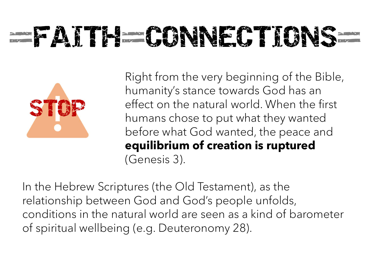## **EXTRE-CONNECTIONS**



Right from the very beginning of the Bible, humanity's stance towards God has an effect on the natural world. When the first humans chose to put what they wanted before what God wanted, the peace and equilibrium of creation is ruptured (Genesis 3).

In the Hebrew Scriptures (the Old Testament), as the relationship between God and God's people unfolds, conditions in the natural world are seen as a kind of barometer of spiritual wellbeing (e.g. Deuteronomy 28).